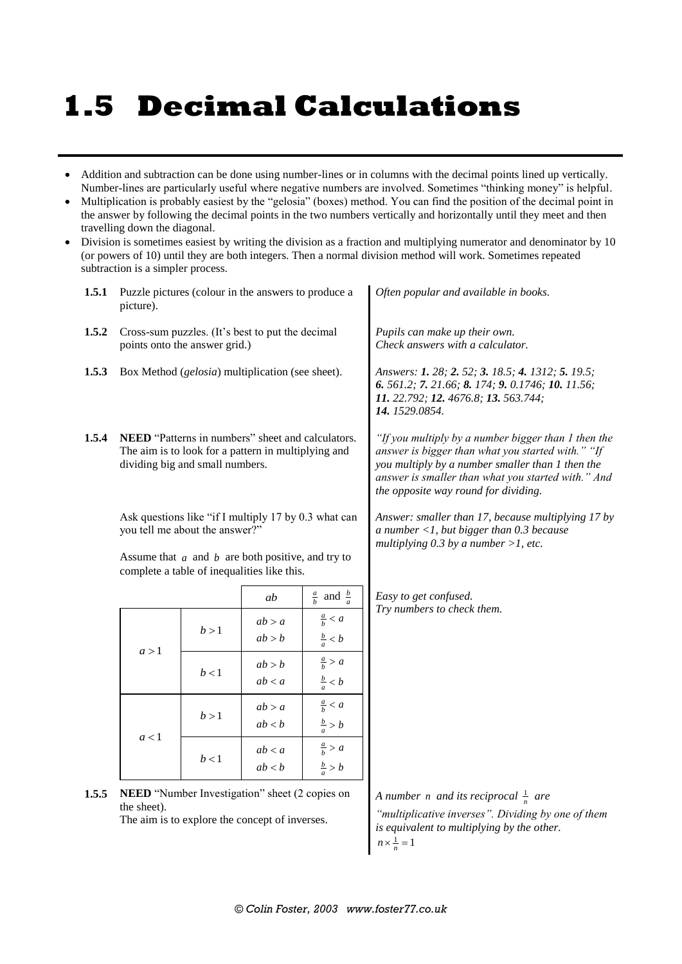## **1.5 Decimal Calculations**

- Addition and subtraction can be done using number-lines or in columns with the decimal points lined up vertically. Number-lines are particularly useful where negative numbers are involved. Sometimes "thinking money" is helpful.
- Multiplication is probably easiest by the "gelosia" (boxes) method. You can find the position of the decimal point in the answer by following the decimal points in the two numbers vertically and horizontally until they meet and then travelling down the diagonal.
- Division is sometimes easiest by writing the division as a fraction and multiplying numerator and denominator by 10 (or powers of 10) until they are both integers. Then a normal division method will work. Sometimes repeated subtraction is a simpler process.

| 1.5.1 | Puzzle pictures (colour in the answers to produce a<br>picture).                                                                                                                               |                                                                                                                                             |                  |                                        | Often popular and available in books.                                                                                                                                                                                                                      |
|-------|------------------------------------------------------------------------------------------------------------------------------------------------------------------------------------------------|---------------------------------------------------------------------------------------------------------------------------------------------|------------------|----------------------------------------|------------------------------------------------------------------------------------------------------------------------------------------------------------------------------------------------------------------------------------------------------------|
| 1.5.2 | Cross-sum puzzles. (It's best to put the decimal<br>points onto the answer grid.)                                                                                                              |                                                                                                                                             |                  |                                        | Pupils can make up their own.<br>Check answers with a calculator.                                                                                                                                                                                          |
| 1.5.3 | Box Method ( <i>gelosia</i> ) multiplication (see sheet).                                                                                                                                      |                                                                                                                                             |                  |                                        | Answers: 1. 28; 2. 52; 3. 18.5; 4. 1312; 5. 19.5;<br>6. 561.2; 7. 21.66; 8. 174; 9. 0.1746; 10. 11.56;<br>11. 22.792; 12. 4676.8; 13. 563.744;<br>14. 1529.0854.                                                                                           |
| 1.5.4 |                                                                                                                                                                                                | NEED "Patterns in numbers" sheet and calculators.<br>The aim is to look for a pattern in multiplying and<br>dividing big and small numbers. |                  |                                        | "If you multiply by a number bigger than 1 then the<br>answer is bigger than what you started with." "If<br>you multiply by a number smaller than 1 then the<br>answer is smaller than what you started with." And<br>the opposite way round for dividing. |
|       | Ask questions like "if I multiply 17 by 0.3 what can<br>you tell me about the answer?"<br>Assume that $a$ and $b$ are both positive, and try to<br>complete a table of inequalities like this. |                                                                                                                                             |                  |                                        | Answer: smaller than 17, because multiplying 17 by<br>a number <1, but bigger than $0.3$ because<br>multiplying 0.3 by a number >1, etc.                                                                                                                   |
|       |                                                                                                                                                                                                |                                                                                                                                             | ab               | $rac{a}{b}$ and $rac{b}{a}$            | Easy to get confused.                                                                                                                                                                                                                                      |
|       | a > 1                                                                                                                                                                                          | b > 1                                                                                                                                       | ab > a<br>ab > b | $\frac{a}{b} < a$<br>$\frac{b}{a} < b$ | Try numbers to check them.                                                                                                                                                                                                                                 |
|       |                                                                                                                                                                                                | b < 1                                                                                                                                       | ab > b<br>ab < a | $\frac{a}{b}$ > a<br>$\frac{b}{a} < b$ |                                                                                                                                                                                                                                                            |
|       | a < 1                                                                                                                                                                                          | b > 1                                                                                                                                       | ab > a<br>ab < b | $\frac{a}{b} < a$<br>$\frac{b}{a} > b$ |                                                                                                                                                                                                                                                            |
|       |                                                                                                                                                                                                | b < 1                                                                                                                                       | ab < a<br>ab < b | $\frac{a}{b} > a$<br>$rac{b}{a}$ > b   |                                                                                                                                                                                                                                                            |
| 1.5.5 | NEED "Number Investigation" sheet (2 copies on<br>the sheet).<br>The aim is to evalors the concent of inverses                                                                                 |                                                                                                                                             |                  |                                        | A number <i>n</i> and its reciprocal $\frac{1}{n}$ are<br>"multiplicative inverses". Dividing by one of them                                                                                                                                               |

The aim is to explore the concept of inverses.

*is equivalent to multiplying by the other.*  $n \times \frac{1}{n} = 1$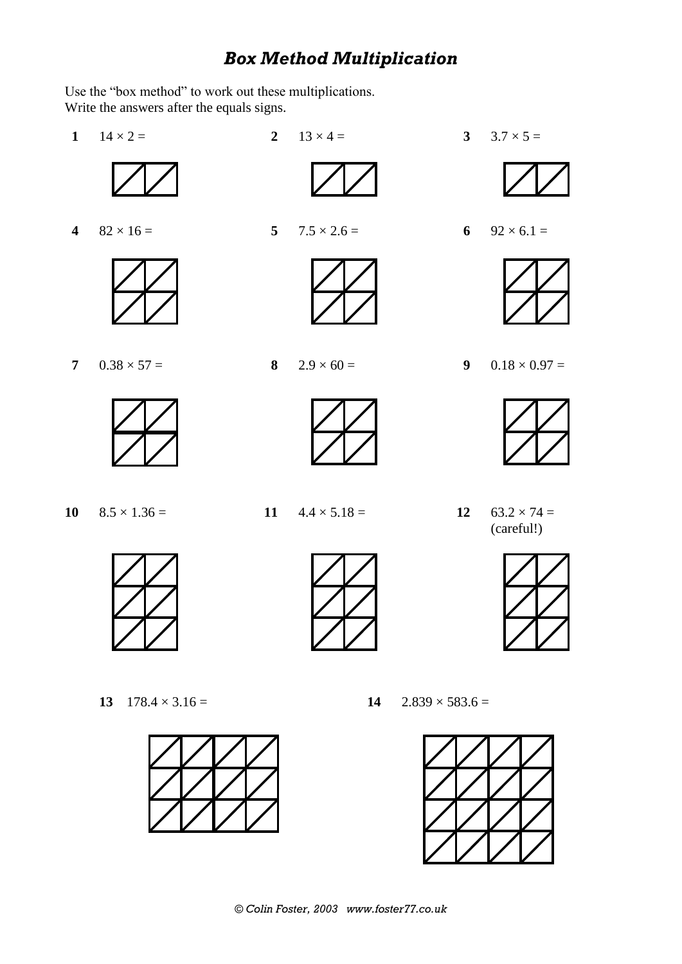## *Box Method Multiplication*

Use the "box method" to work out these multiplications. Write the answers after the equals signs.

- **1**  $14 \times 2 =$  **2**  $13 \times 4 =$  **3**  $3.7 \times 5 =$ **4**  $82 \times 16 = 5$   $7.5 \times 2.6 = 6$   $92 \times 6.1 = 6$ **7**  $0.38 \times 57 =$  **8**  $2.9 \times 60 =$  **9**  $0.18 \times 0.97 =$ **10**  $8.5 \times 1.36 =$  **11**  $4.4 \times 5.18 =$  **12**  $63.2 \times 74 =$ (careful!)
	-



- **13**  $178.4 \times 3.16 =$  **14**  $2.839 \times 583.6 =$ 
	-







*© Colin Foster, 2003 www.foster77.co.uk*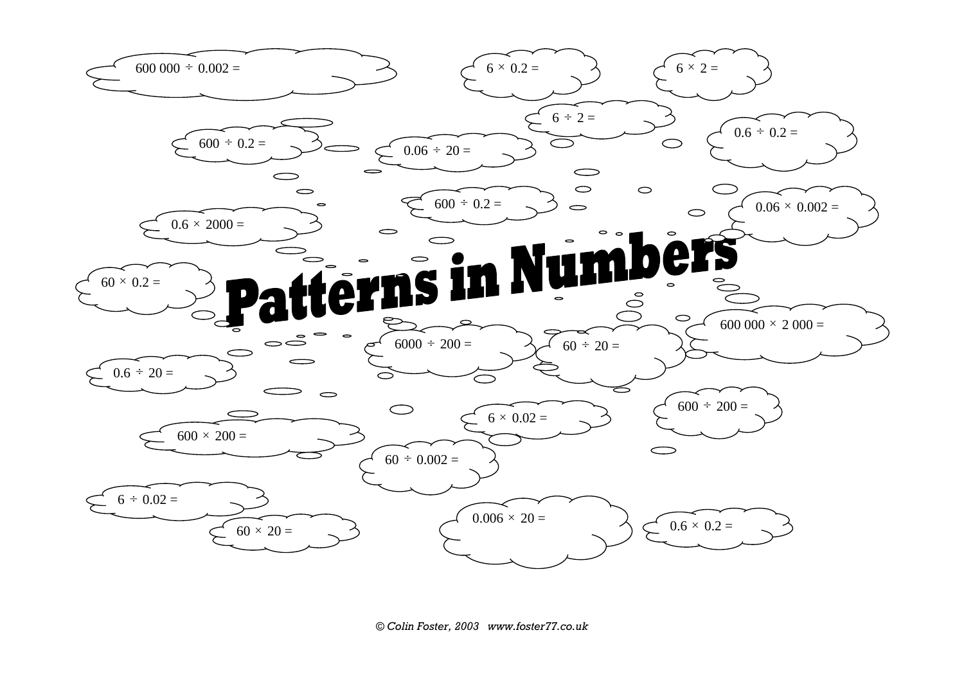

*© Colin Foster, 2003 www.foster77.co.uk*